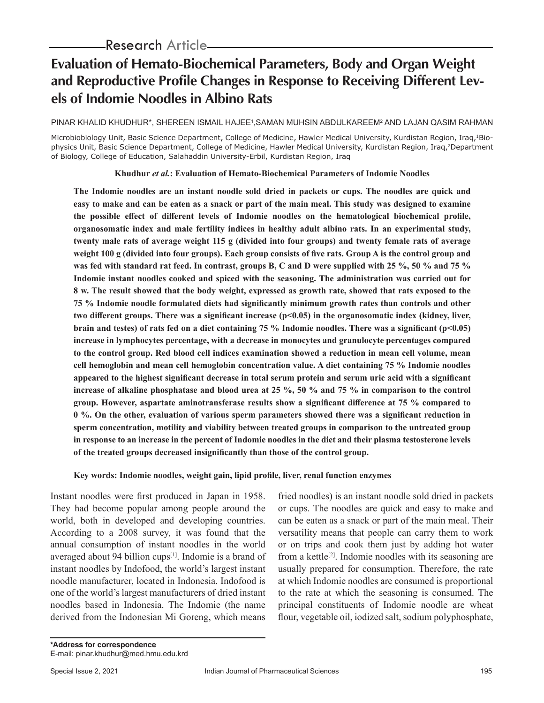# **Evaluation of Hemato-Biochemical Parameters, Body and Organ Weight and Reproductive Profile Changes in Response to Receiving Different Levels of Indomie Noodles in Albino Rats**

PINAR KHALID KHUDHUR\*, SHEREEN ISMAIL HAJEE',SAMAN MUHSIN ABDULKAREEM² AND LAJAN QASIM RAHMAN

Microbiobiology Unit, Basic Science Department, College of Medicine, Hawler Medical University, Kurdistan Region, Iraq,1Biophysics Unit, Basic Science Department, College of Medicine, Hawler Medical University, Kurdistan Region, Iraq,2Department of Biology, College of Education, Salahaddin University-Erbil, Kurdistan Region, Iraq

**Khudhur** *et al.***: Evaluation of Hemato-Biochemical Parameters of Indomie Noodles**

**The Indomie noodles are an instant noodle sold dried in packets or cups. The noodles are quick and easy to make and can be eaten as a snack or part of the main meal. This study was designed to examine the possible effect of different levels of Indomie noodles on the hematological biochemical profile, organosomatic index and male fertility indices in healthy adult albino rats. In an experimental study, twenty male rats of average weight 115 g (divided into four groups) and twenty female rats of average weight 100 g (divided into four groups). Each group consists of five rats. Group A is the control group and was fed with standard rat feed. In contrast, groups B, C and D were supplied with 25 %, 50 % and 75 % Indomie instant noodles cooked and spiced with the seasoning. The administration was carried out for 8 w. The result showed that the body weight, expressed as growth rate, showed that rats exposed to the 75 % Indomie noodle formulated diets had significantly minimum growth rates than controls and other**  two different groups. There was a significant increase (p<0.05) in the organosomatic index (kidney, liver, **brain and testes) of rats fed on a diet containing 75 % Indomie noodles. There was a significant (p<0.05) increase in lymphocytes percentage, with a decrease in monocytes and granulocyte percentages compared to the control group. Red blood cell indices examination showed a reduction in mean cell volume, mean cell hemoglobin and mean cell hemoglobin concentration value. A diet containing 75 % Indomie noodles appeared to the highest significant decrease in total serum protein and serum uric acid with a significant increase of alkaline phosphatase and blood urea at 25 %, 50 % and 75 % in comparison to the control group. However, aspartate aminotransferase results show a significant difference at 75 % compared to 0 %. On the other, evaluation of various sperm parameters showed there was a significant reduction in sperm concentration, motility and viability between treated groups in comparison to the untreated group in response to an increase in the percent of Indomie noodles in the diet and their plasma testosterone levels of the treated groups decreased insignificantly than those of the control group.**

#### **Key words: Indomie noodles, weight gain, lipid profile, liver, renal function enzymes**

Instant noodles were first produced in Japan in 1958. They had become popular among people around the world, both in developed and developing countries. According to a 2008 survey, it was found that the annual consumption of instant noodles in the world averaged about 94 billion cups<sup>[1]</sup>. Indomie is a brand of instant noodles by Indofood, the world's largest instant noodle manufacturer, located in Indonesia. Indofood is one of the world's largest manufacturers of dried instant noodles based in Indonesia. The Indomie (the name derived from the Indonesian Mi Goreng, which means

fried noodles) is an instant noodle sold dried in packets or cups. The noodles are quick and easy to make and can be eaten as a snack or part of the main meal. Their versatility means that people can carry them to work or on trips and cook them just by adding hot water from a kettle<sup>[2]</sup>. Indomie noodles with its seasoning are usually prepared for consumption. Therefore, the rate at which Indomie noodles are consumed is proportional to the rate at which the seasoning is consumed. The principal constituents of Indomie noodle are wheat flour, vegetable oil, iodized salt, sodium polyphosphate,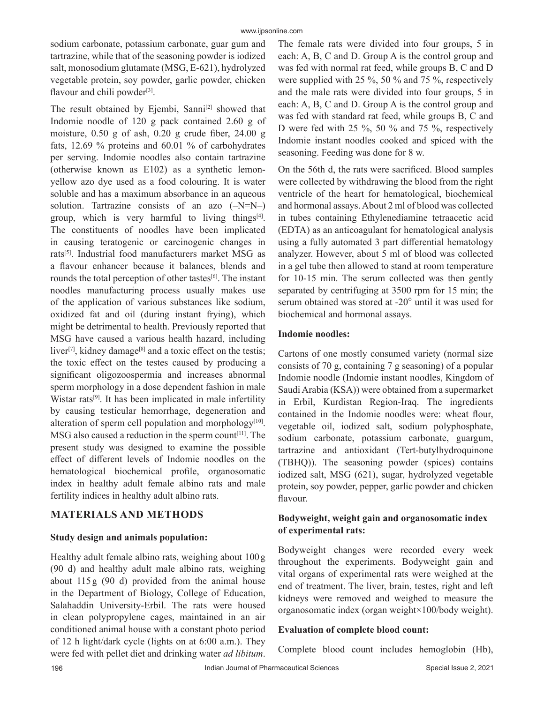sodium carbonate, potassium carbonate, guar gum and tartrazine, while that of the seasoning powder is iodized salt, monosodium glutamate (MSG, E-621), hydrolyzed vegetable protein, soy powder, garlic powder, chicken flavour and chili powder<sup>[3]</sup>.

The result obtained by Ejembi, Sanni<sup>[2]</sup> showed that Indomie noodle of 120 g pack contained 2.60 g of moisture, 0.50 g of ash, 0.20 g crude fiber, 24.00 g fats, 12.69 % proteins and 60.01 % of carbohydrates per serving. Indomie noodles also contain tartrazine (otherwise known as E102) as a synthetic lemonyellow azo dye used as a food colouring. It is water soluble and has a maximum absorbance in an aqueous solution. Tartrazine consists of an azo  $(-N=N-)$ group, which is very harmful to living things $[4]$ . The constituents of noodles have been implicated in causing teratogenic or carcinogenic changes in rats[5]. Industrial food manufacturers market MSG as a flavour enhancer because it balances, blends and rounds the total perception of other tastes<sup>[6]</sup>. The instant noodles manufacturing process usually makes use of the application of various substances like sodium, oxidized fat and oil (during instant frying), which might be detrimental to health. Previously reported that MSG have caused a various health hazard, including liver<sup>[7]</sup>, kidney damage<sup>[8]</sup> and a toxic effect on the testis; the toxic effect on the testes caused by producing a significant oligozoospermia and increases abnormal sperm morphology in a dose dependent fashion in male Wistar rats<sup>[9]</sup>. It has been implicated in male infertility by causing testicular hemorrhage, degeneration and alteration of sperm cell population and morphology $[10]$ . MSG also caused a reduction in the sperm count<sup>[11]</sup>. The present study was designed to examine the possible effect of different levels of Indomie noodles on the hematological biochemical profile, organosomatic index in healthy adult female albino rats and male fertility indices in healthy adult albino rats.

# **MATERIALS AND METHODS**

#### **Study design and animals population:**

Healthy adult female albino rats, weighing about 100g (90 d) and healthy adult male albino rats, weighing about 115 g (90 d) provided from the animal house in the Department of Biology, College of Education, Salahaddin University-Erbil. The rats were housed in clean polypropylene cages, maintained in an air conditioned animal house with a constant photo period of 12 h light/dark cycle (lights on at 6:00 a.m.). They were fed with pellet diet and drinking water *ad libitum*. The female rats were divided into four groups, 5 in each: A, B, C and D. Group A is the control group and was fed with normal rat feed, while groups B, C and D were supplied with 25 %, 50 % and 75 %, respectively and the male rats were divided into four groups, 5 in each: A, B, C and D. Group A is the control group and was fed with standard rat feed, while groups B, C and D were fed with 25 %, 50 % and 75 %, respectively Indomie instant noodles cooked and spiced with the seasoning. Feeding was done for 8 w.

On the 56th d, the rats were sacrificed. Blood samples were collected by withdrawing the blood from the right ventricle of the heart for hematological, biochemical and hormonal assays. About 2 ml of blood was collected in tubes containing Ethylenediamine tetraacetic acid (EDTA) as an anticoagulant for hematological analysis using a fully automated 3 part differential hematology analyzer. However, about 5 ml of blood was collected in a gel tube then allowed to stand at room temperature for 10-15 min. The serum collected was then gently separated by centrifuging at 3500 rpm for 15 min; the serum obtained was stored at -20° until it was used for biochemical and hormonal assays.

#### **Indomie noodles:**

Cartons of one mostly consumed variety (normal size consists of 70 g, containing 7 g seasoning) of a popular Indomie noodle (Indomie instant noodles, Kingdom of Saudi Arabia (KSA)) were obtained from a supermarket in Erbil, Kurdistan Region-Iraq. The ingredients contained in the Indomie noodles were: wheat flour, vegetable oil, iodized salt, sodium polyphosphate, sodium carbonate, potassium carbonate, guargum, tartrazine and antioxidant (Tert-butylhydroquinone (TBHQ)). The seasoning powder (spices) contains iodized salt, MSG (621), sugar, hydrolyzed vegetable protein, soy powder, pepper, garlic powder and chicken flavour.

# **Bodyweight, weight gain and organosomatic index of experimental rats:**

Bodyweight changes were recorded every week throughout the experiments. Bodyweight gain and vital organs of experimental rats were weighed at the end of treatment. The liver, brain, testes, right and left kidneys were removed and weighed to measure the organosomatic index (organ weight×100/body weight).

#### **Evaluation of complete blood count:**

Complete blood count includes hemoglobin (Hb),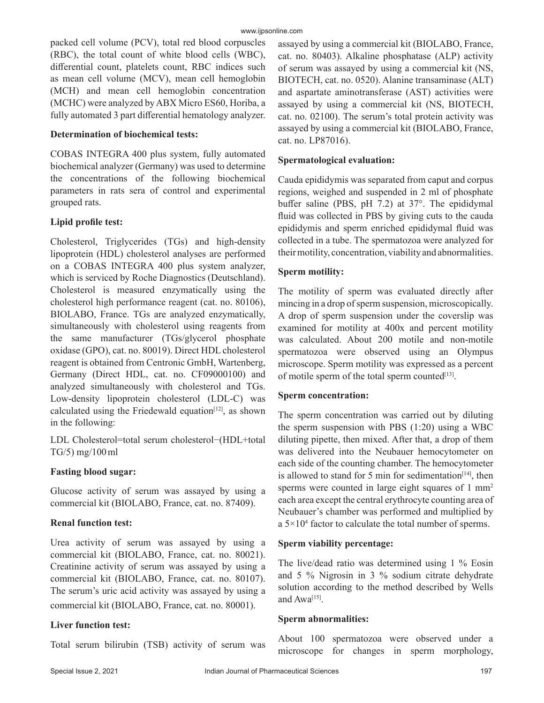packed cell volume (PCV), total red blood corpuscles (RBC), the total count of white blood cells (WBC), differential count, platelets count, RBC indices such as mean cell volume (MCV), mean cell hemoglobin (MCH) and mean cell hemoglobin concentration (MCHC) were analyzed by ABX Micro ES60, Horiba, a fully automated 3 part differential hematology analyzer.

#### **Determination of biochemical tests:**

COBAS INTEGRA 400 plus system, fully automated biochemical analyzer (Germany) was used to determine the concentrations of the following biochemical parameters in rats sera of control and experimental grouped rats.

# **Lipid profile test:**

Cholesterol, Triglycerides (TGs) and high-density lipoprotein (HDL) cholesterol analyses are performed on a COBAS INTEGRA 400 plus system analyzer, which is serviced by Roche Diagnostics (Deutschland). Cholesterol is measured enzymatically using the cholesterol high performance reagent (cat. no. 80106), BIOLABO, France. TGs are analyzed enzymatically, simultaneously with cholesterol using reagents from the same manufacturer (TGs/glycerol phosphate oxidase (GPO), cat. no. 80019). Direct HDL cholesterol reagent is obtained from Centronic GmbH, Wartenberg, Germany (Direct HDL, cat. no. CF09000100) and analyzed simultaneously with cholesterol and TGs. Low-density lipoprotein cholesterol (LDL-C) was calculated using the Friedewald equation<sup>[12]</sup>, as shown in the following:

LDL Cholesterol=total serum cholesterol−(HDL+total TG/5) mg/100ml

# **Fasting blood sugar:**

Glucose activity of serum was assayed by using a commercial kit (BIOLABO, France, cat. no. 87409).

# **Renal function test:**

Urea activity of serum was assayed by using a commercial kit (BIOLABO, France, cat. no. 80021). Creatinine activity of serum was assayed by using a commercial kit (BIOLABO, France, cat. no. 80107). The serum's uric acid activity was assayed by using a commercial kit (BIOLABO, France, cat. no. 80001).

# **Liver function test:**

Total serum bilirubin (TSB) activity of serum was

assayed by using a commercial kit (BIOLABO, France, cat. no. 80403). Alkaline phosphatase (ALP) activity of serum was assayed by using a commercial kit (NS, BIOTECH, cat. no. 0520). Alanine transaminase (ALT) and aspartate aminotransferase (AST) activities were assayed by using a commercial kit (NS, BIOTECH, cat. no. 02100). The serum's total protein activity was assayed by using a commercial kit (BIOLABO, France, cat. no. LP87016).

#### **Spermatological evaluation:**

Cauda epididymis was separated from caput and corpus regions, weighed and suspended in 2 ml of phosphate buffer saline (PBS, pH 7.2) at 37°. The epididymal fluid was collected in PBS by giving cuts to the cauda epididymis and sperm enriched epididymal fluid was collected in a tube. The spermatozoa were analyzed for their motility, concentration, viability and abnormalities.

#### **Sperm motility:**

The motility of sperm was evaluated directly after mincing in a drop of sperm suspension, microscopically. A drop of sperm suspension under the coverslip was examined for motility at 400x and percent motility was calculated. About 200 motile and non-motile spermatozoa were observed using an Olympus microscope. Sperm motility was expressed as a percent of motile sperm of the total sperm counted<sup>[13]</sup>.

#### **Sperm concentration:**

The sperm concentration was carried out by diluting the sperm suspension with PBS (1:20) using a WBC diluting pipette, then mixed. After that, a drop of them was delivered into the Neubauer hemocytometer on each side of the counting chamber. The hemocytometer is allowed to stand for 5 min for sedimentation<sup>[14]</sup>, then sperms were counted in large eight squares of 1 mm<sup>2</sup> each area except the central erythrocyte counting area of Neubauer's chamber was performed and multiplied by a 5×104 factor to calculate the total number of sperms.

# **Sperm viability percentage:**

The live/dead ratio was determined using 1 % Eosin and 5 % Nigrosin in 3 % sodium citrate dehydrate solution according to the method described by Wells and Awa<sup>[15]</sup>.

#### **Sperm abnormalities:**

About 100 spermatozoa were observed under a microscope for changes in sperm morphology,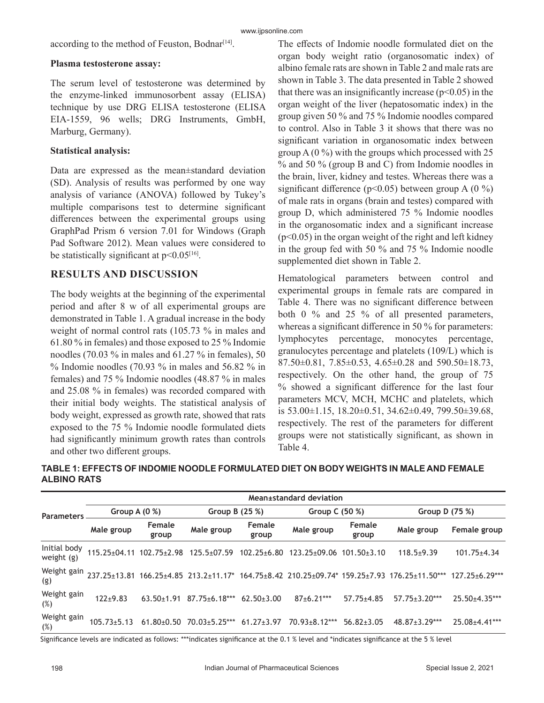according to the method of Feuston, Bodnar $[14]$ .

#### **Plasma testosterone assay:**

The serum level of testosterone was determined by the enzyme-linked immunosorbent assay (ELISA) technique by use DRG ELISA testosterone (ELISA EIA-1559, 96 wells; DRG Instruments, GmbH, Marburg, Germany).

# **Statistical analysis:**

Data are expressed as the mean±standard deviation (SD). Analysis of results was performed by one way analysis of variance (ANOVA) followed by Tukey's multiple comparisons test to determine significant differences between the experimental groups using GraphPad Prism 6 version 7.01 for Windows (Graph Pad Software 2012). Mean values were considered to be statistically significant at  $p<0.05^{[16]}$ .

# **RESULTS AND DISCUSSION**

The body weights at the beginning of the experimental period and after 8 w of all experimental groups are demonstrated in Table 1. A gradual increase in the body weight of normal control rats (105.73 % in males and 61.80 % in females) and those exposed to 25 % Indomie noodles (70.03 % in males and 61.27 % in females), 50 % Indomie noodles (70.93 % in males and 56.82 % in females) and 75 % Indomie noodles (48.87 % in males and 25.08 % in females) was recorded compared with their initial body weights. The statistical analysis of body weight, expressed as growth rate, showed that rats exposed to the 75 % Indomie noodle formulated diets had significantly minimum growth rates than controls and other two different groups.

The effects of Indomie noodle formulated diet on the organ body weight ratio (organosomatic index) of albino female rats are shown in Table 2 and male rats are shown in Table 3. The data presented in Table 2 showed that there was an insignificantly increase ( $p<0.05$ ) in the organ weight of the liver (hepatosomatic index) in the group given 50 % and 75 % Indomie noodles compared to control. Also in Table 3 it shows that there was no significant variation in organosomatic index between group  $A(0\%)$  with the groups which processed with 25 % and 50 % (group B and C) from Indomie noodles in the brain, liver, kidney and testes. Whereas there was a significant difference ( $p$ <0.05) between group A (0 %) of male rats in organs (brain and testes) compared with group D, which administered 75 % Indomie noodles in the organosomatic index and a significant increase  $(p<0.05)$  in the organ weight of the right and left kidney in the group fed with 50 % and 75 % Indomie noodle supplemented diet shown in Table 2.

Hematological parameters between control and experimental groups in female rats are compared in Table 4. There was no significant difference between both 0 % and 25 % of all presented parameters, whereas a significant difference in 50 % for parameters: lymphocytes percentage, monocytes percentage, granulocytes percentage and platelets (109/L) which is 87.50±0.81, 7.85±0.53, 4.65±0.28 and 590.50±18.73, respectively. On the other hand, the group of 75 % showed a significant difference for the last four parameters MCV, MCH, MCHC and platelets, which is 53.00±1.15, 18.20±0.51, 34.62±0.49, 799.50±39.68, respectively. The rest of the parameters for different groups were not statistically significant, as shown in Table 4.

|                              |                    |                   |                                          |                   | Mean±standard deviation              |                        |                                                       |                       |
|------------------------------|--------------------|-------------------|------------------------------------------|-------------------|--------------------------------------|------------------------|-------------------------------------------------------|-----------------------|
| <b>Parameters</b>            | Group A $(0 %)$    |                   | Group B $(25%)$                          |                   | Group C (50 %)                       |                        | Group D (75 %)                                        |                       |
|                              | Male group         | Female<br>group   | Male group                               | Female<br>group   | Male group                           | <b>Female</b><br>group | Male group                                            | Female group          |
| Initial body<br>weight $(g)$ | $115.25 \pm 04.11$ | $102.75 \pm 2.98$ | $125.5 \pm 07.59$                        | $102.25 \pm 6.80$ | $123.25 \pm 09.06$ 101.50 $\pm 3.10$ |                        | $118.5+9.39$                                          | $101.75 \pm 4.34$     |
| Weight gain<br>(g)           | 237.25+13.81       |                   | $166.25 \pm 4.85$ 213.2 $\pm$ 11.17 $^*$ |                   |                                      |                        | 164.75±8.42 210.25±09.74* 159.25±7.93 176.25±11.50*** | $127.25 \pm 6.29$ *** |
| Weight gain<br>(%)           | $122+9.83$         | $63.50 \pm 1.91$  | $87.75 \pm 6.18$ ***                     | $62.50 \pm 3.00$  | $87+6.21***$                         | $57.75 \pm 4.85$       | $57.75 \pm 3.20***$                                   | $25.50+4.35***$       |
| Weight gain<br>(%)           | $105.73 \pm 5.13$  | $61.80 + 0.50$    | $70.03 \pm 5.25$ ***                     | $61.27 \pm 3.97$  | $70.93 \pm 8.12***$                  | $56.82 \pm 3.05$       | $48.87 \pm 3.29$ ***                                  | 25.08±4.41***         |

| TABLE 1: EFFECTS OF INDOMIE NOODLE FORMULATED DIET ON BODY WEIGHTS IN MALE AND FEMALE |
|---------------------------------------------------------------------------------------|
| <b>ALBINO RATS</b>                                                                    |

Significance levels are indicated as follows: \*\*\*indicates significance at the 0.1 % level and \*indicates significance at the 5 % level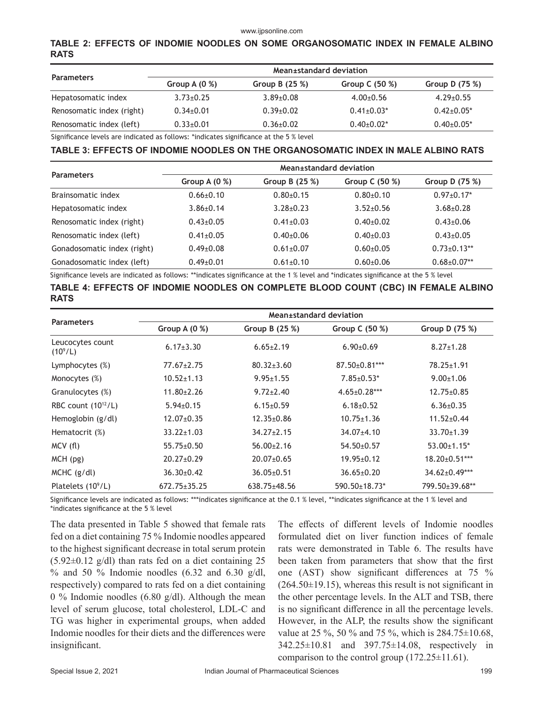#### www.ijpsonline.com

#### **TABLE 2: EFFECTS OF INDOMIE NOODLES ON SOME ORGANOSOMATIC INDEX IN FEMALE ALBINO RATS**

|                           |                 | Mean±standard deviation |                   |                   |
|---------------------------|-----------------|-------------------------|-------------------|-------------------|
| <b>Parameters</b>         | Group A $(0\%)$ | Group B $(25%)$         | Group C $(50\%)$  | Group $D(75%)$    |
| Hepatosomatic index       | $3.73 \pm 0.25$ | $3.89 \pm 0.08$         | $4.00+0.56$       | $4.29 \pm 0.55$   |
| Renosomatic index (right) | $0.34 \pm 0.01$ | $0.39 \pm 0.02$         | $0.41 \pm 0.03^*$ | $0.42 \pm 0.05^*$ |
| Renosomatic index (left)  | $0.33 \pm 0.01$ | $0.36 \pm 0.02$         | $0.40+0.02*$      | $0.40\pm0.05*$    |

Significance levels are indicated as follows: \*indicates significance at the 5 % level

#### **TABLE 3: EFFECTS OF INDOMIE NOODLES ON THE ORGANOSOMATIC INDEX IN MALE ALBINO RATS**

|                             | Mean±standard deviation |                 |                  |                    |  |  |  |
|-----------------------------|-------------------------|-----------------|------------------|--------------------|--|--|--|
| <b>Parameters</b>           | Group A $(0 %)$         | Group B (25 %)  | Group C $(50\%)$ | Group D $(75%)$    |  |  |  |
| Brainsomatic index          | $0.66 \pm 0.10$         | $0.80+0.15$     | $0.80+0.10$      | $0.97 \pm 0.17$ *  |  |  |  |
| Hepatosomatic index         | $3.86 \pm 0.14$         | $3.28 + 0.23$   | $3.52 + 0.56$    | $3.68 + 0.28$      |  |  |  |
| Renosomatic index (right)   | $0.43{\pm}0.05$         | $0.41 \pm 0.03$ | $0.40+0.02$      | $0.43 \pm 0.06$    |  |  |  |
| Renosomatic index (left)    | $0.41 \pm 0.05$         | $0.40+0.06$     | $0.40+0.03$      | $0.43 \pm 0.05$    |  |  |  |
| Gonadosomatic index (right) | $0.49 \pm 0.08$         | $0.61 \pm 0.07$ | $0.60 + 0.05$    | $0.73 \pm 0.13$ ** |  |  |  |
| Gonadosomatic index (left)  | $0.49 \pm 0.01$         | $0.61 \pm 0.10$ | $0.60 + 0.06$    | $0.68 \pm 0.07**$  |  |  |  |

Significance levels are indicated as follows: \*\*indicates significance at the 1 % level and \*indicates significance at the 5 % level

#### **TABLE 4: EFFECTS OF INDOMIE NOODLES ON COMPLETE BLOOD COUNT (CBC) IN FEMALE ALBINO RATS**

|                                | Mean±standard deviation |                    |                      |                      |  |  |
|--------------------------------|-------------------------|--------------------|----------------------|----------------------|--|--|
| <b>Parameters</b>              | Group A $(0 %)$         | Group B $(25%)$    | Group C (50 %)       | Group D (75 %)       |  |  |
| Leucocytes count<br>$(10^9/L)$ | $6.17 \pm 3.30$         | $6.65 \pm 2.19$    | $6.90 \pm 0.69$      | $8.27 \pm 1.28$      |  |  |
| Lymphocytes (%)                | $77.67 \pm 2.75$        | $80.32 \pm 3.60$   | $87.50 \pm 0.81$ *** | $78.25 \pm 1.91$     |  |  |
| Monocytes (%)                  | $10.52 \pm 1.13$        | $9.95 \pm 1.55$    | $7.85 \pm 0.53*$     | $9.00 \pm 1.06$      |  |  |
| Granulocytes (%)               | $11.80 \pm 2.26$        | $9.72 \pm 2.40$    | $4.65 \pm 0.28$ ***  | $12.75 \pm 0.85$     |  |  |
| RBC count $(10^{12}/L)$        | $5.94 \pm 0.15$         | $6.15 \pm 0.59$    | $6.18 \pm 0.52$      | $6.36 \pm 0.35$      |  |  |
| Hemoglobin (g/dl)              | $12.07 \pm 0.35$        | $12.35 \pm 0.86$   | $10.75 \pm 1.36$     | $11.52 \pm 0.44$     |  |  |
| Hematocrit (%)                 | $33.22 \pm 1.03$        | $34.27 \pm 2.15$   | 34.07±4.10           | $33.70 \pm 1.39$     |  |  |
| MCV(f)                         | $55.75 \pm 0.50$        | $56.00 \pm 2.16$   | $54.50 \pm 0.57$     | $53.00 \pm 1.15$ *   |  |  |
| $MCH$ (pg)                     | $20.27 \pm 0.29$        | $20.07 \pm 0.65$   | $19.95 \pm 0.12$     | $18.20 \pm 0.51$ *** |  |  |
| $MCHC$ (g/dl)                  | $36.30 \pm 0.42$        | $36.05 \pm 0.51$   | $36.65 \pm 0.20$     | 34.62±0.49***        |  |  |
| Platelets $(10^9/L)$           | $672.75 \pm 35.25$      | $638.75 \pm 48.56$ | 590.50±18.73*        | 799.50±39.68**       |  |  |

Significance levels are indicated as follows: \*\*\*indicates significance at the 0.1 % level, \*\*indicates significance at the 1 % level and \*indicates significance at the 5 % level

The data presented in Table 5 showed that female rats fed on a diet containing 75 % Indomie noodles appeared to the highest significant decrease in total serum protein  $(5.92\pm0.12 \text{ g/dl})$  than rats fed on a diet containing 25  $%$  and 50 % Indomie noodles (6.32 and 6.30 g/dl, respectively) compared to rats fed on a diet containing 0 % Indomie noodles (6.80 g/dl). Although the mean level of serum glucose, total cholesterol, LDL-C and TG was higher in experimental groups, when added Indomie noodles for their diets and the differences were insignificant.

The effects of different levels of Indomie noodles formulated diet on liver function indices of female rats were demonstrated in Table 6. The results have been taken from parameters that show that the first one (AST) show significant differences at 75 %  $(264.50\pm19.15)$ , whereas this result is not significant in the other percentage levels. In the ALT and TSB, there is no significant difference in all the percentage levels. However, in the ALP, the results show the significant value at 25 %, 50 % and 75 %, which is 284.75±10.68, 342.25±10.81 and 397.75±14.08, respectively in comparison to the control group  $(172.25\pm11.61)$ .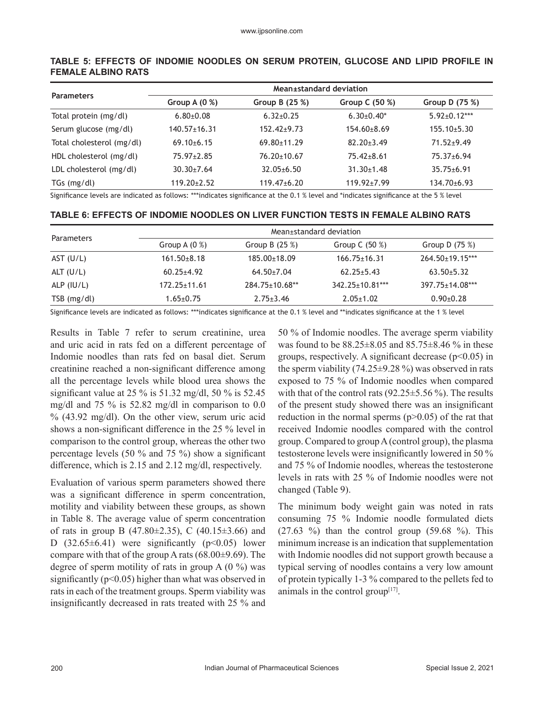| <b>Parameters</b>         | Mean±standard deviation |                   |                   |                    |  |  |  |
|---------------------------|-------------------------|-------------------|-------------------|--------------------|--|--|--|
|                           | Group A $(0 %)$         | Group B $(25%)$   | Group C $(50\%)$  | Group D (75 %)     |  |  |  |
| Total protein (mg/dl)     | $6.80{\pm}0.08$         | $6.32+0.25$       | $6.30+0.40*$      | $5.92 \pm 0.12***$ |  |  |  |
| Serum glucose (mg/dl)     | $140.57 \pm 16.31$      | $152.42+9.73$     | $154.60 \pm 8.69$ | $155.10+5.30$      |  |  |  |
| Total cholesterol (mg/dl) | $69.10+6.15$            | $69.80 \pm 11.29$ | $82.20 \pm 3.49$  | $71.52 + 9.49$     |  |  |  |
| HDL cholesterol (mg/dl)   | $75.97 \pm 2.85$        | $76.20 \pm 10.67$ | $75.42 \pm 8.61$  | 75.37±6.94         |  |  |  |
| LDL cholesterol (mg/dl)   | $30.30 \pm 7.64$        | $32.05 \pm 6.50$  | $31.30 \pm 1.48$  | $35.75 \pm 6.91$   |  |  |  |
| $TGs$ (mg/dl)             | $119.20 \pm 2.52$       | $119.47 \pm 6.20$ | $119.92 \pm 7.99$ | $134.70 \pm 6.93$  |  |  |  |

#### **TABLE 5: EFFECTS OF INDOMIE NOODLES ON SERUM PROTEIN, GLUCOSE AND LIPID PROFILE IN FEMALE ALBINO RATS**

Significance levels are indicated as follows: \*\*\*indicates significance at the 0.1 % level and \*indicates significance at the 5 % level

#### **TABLE 6: EFFECTS OF INDOMIE NOODLES ON LIVER FUNCTION TESTS IN FEMALE ALBINO RATS**

| Parameters    |                 | Mean±standard deviation |                        |                        |  |  |  |
|---------------|-----------------|-------------------------|------------------------|------------------------|--|--|--|
|               | Group A $(0\%)$ | Group B $(25%)$         | Group C $(50\%)$       | Group D $(75%)$        |  |  |  |
| AST (U/L)     | $161.50 + 8.18$ | $185.00 \pm 18.09$      | $166.75 \pm 16.31$     | $264.50 \pm 19.15$ *** |  |  |  |
| ALT $(U/L)$   | $60.25 + 4.92$  | $64.50 \pm 7.04$        | $62.25 + 5.43$         | $63.50+5.32$           |  |  |  |
| ALP $(IU/L)$  | 172.25+11.61    | $284.75 \pm 10.68$ **   | $342.25 \pm 10.81$ *** | 397.75±14.08***        |  |  |  |
| $TSB$ (mg/dl) | $1.65 \pm 0.75$ | $2.75 \pm 3.46$         | $2.05 \pm 1.02$        | $0.90+0.28$            |  |  |  |

Significance levels are indicated as follows: \*\*\*indicates significance at the 0.1 % level and \*\*indicates significance at the 1 % level

Results in Table 7 refer to serum creatinine, urea and uric acid in rats fed on a different percentage of Indomie noodles than rats fed on basal diet. Serum creatinine reached a non-significant difference among all the percentage levels while blood urea shows the significant value at 25 % is 51.32 mg/dl, 50 % is 52.45 mg/dl and 75 % is 52.82 mg/dl in comparison to 0.0 % (43.92 mg/dl). On the other view, serum uric acid shows a non-significant difference in the 25 % level in comparison to the control group, whereas the other two percentage levels (50 % and 75 %) show a significant difference, which is 2.15 and 2.12 mg/dl, respectively.

Evaluation of various sperm parameters showed there was a significant difference in sperm concentration, motility and viability between these groups, as shown in Table 8. The average value of sperm concentration of rats in group B (47.80 $\pm$ 2.35), C (40.15 $\pm$ 3.66) and D  $(32.65\pm6.41)$  were significantly  $(p<0.05)$  lower compare with that of the group A rats  $(68.00\pm9.69)$ . The degree of sperm motility of rats in group  $A(0\%)$  was significantly ( $p<0.05$ ) higher than what was observed in rats in each of the treatment groups. Sperm viability was insignificantly decreased in rats treated with 25 % and 50 % of Indomie noodles. The average sperm viability was found to be 88.25±8.05 and 85.75±8.46 % in these groups, respectively. A significant decrease  $(p<0.05)$  in the sperm viability (74.25±9.28 %) was observed in rats exposed to 75 % of Indomie noodles when compared with that of the control rats  $(92.25 \pm 5.56 \%)$ . The results of the present study showed there was an insignificant reduction in the normal sperms  $(p>0.05)$  of the rat that received Indomie noodles compared with the control group. Compared to group A (control group), the plasma testosterone levels were insignificantly lowered in 50 % and 75 % of Indomie noodles, whereas the testosterone levels in rats with 25 % of Indomie noodles were not changed (Table 9).

The minimum body weight gain was noted in rats consuming 75 % Indomie noodle formulated diets  $(27.63 \%)$  than the control group  $(59.68 \%)$ . This minimum increase is an indication that supplementation with Indomie noodles did not support growth because a typical serving of noodles contains a very low amount of protein typically 1-3 % compared to the pellets fed to animals in the control group $[17]$ .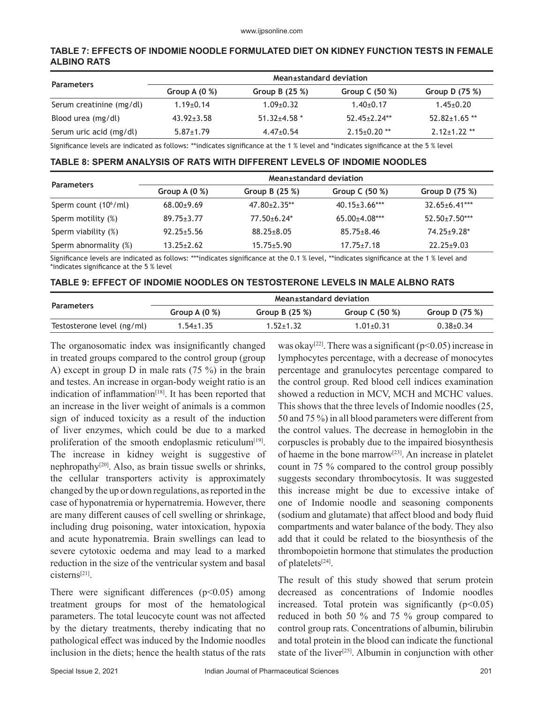#### **TABLE 7: EFFECTS OF INDOMIE NOODLE FORMULATED DIET ON KIDNEY FUNCTION TESTS IN FEMALE ALBINO RATS**

|                          | Mean±standard deviation |                    |                    |                     |  |  |
|--------------------------|-------------------------|--------------------|--------------------|---------------------|--|--|
| <b>Parameters</b>        | Group A $(0\%)$         | Group B $(25%)$    | Group C $(50\%)$   | Group D $(75%)$     |  |  |
| Serum creatinine (mg/dl) | $1.19 \pm 0.14$         | $1.09 + 0.32$      | $1.40\pm0.17$      | $1.45 \pm 0.20$     |  |  |
| Blood urea (mg/dl)       | $43.92 \pm 3.58$        | $51.32 \pm 4.58$ * | $52.45+2.24**$     | $52.82 \pm 1.65$ ** |  |  |
| Serum uric acid (mg/dl)  | $5.87 \pm 1.79$         | $4.47 \pm 0.54$    | $2.15 \pm 0.20$ ** | $2.12 \pm 1.22$ **  |  |  |

Significance levels are indicated as follows: \*\*indicates significance at the 1 % level and \*indicates significance at the 5 % level

#### **TABLE 8: SPERM ANALYSIS OF RATS WITH DIFFERENT LEVELS OF INDOMIE NOODLES**

|                          | Mean±standard deviation |                     |                      |                      |  |  |
|--------------------------|-------------------------|---------------------|----------------------|----------------------|--|--|
| <b>Parameters</b>        | Group A $(0\%)$         | Group B $(25%)$     | Group C $(50\%)$     | Group D $(75%)$      |  |  |
| Sperm count $(10^6$ /ml) | $68.00+9.69$            | $47.80 \pm 2.35$ ** | $40.15 \pm 3.66$ *** | $32.65 \pm 6.41$ *** |  |  |
| Sperm motility (%)       | $89.75 \pm 3.77$        | $77.50 + 6.24*$     | $65.00+4.08***$      | $52.50+7.50***$      |  |  |
| Sperm viability (%)      | $92.25 \pm 5.56$        | $88.25 \pm 8.05$    | $85.75 \pm 8.46$     | $74.25 \pm 9.28$ *   |  |  |
| Sperm abnormality (%)    | $13.25 \pm 2.62$        | $15.75 \pm 5.90$    | $17.75 \pm 7.18$     | $22.25 \pm 9.03$     |  |  |

Significance levels are indicated as follows: \*\*\*indicates significance at the 0.1 % level, \*\*indicates significance at the 1 % level and \*indicates significance at the 5 % level

#### **TABLE 9: EFFECT OF INDOMIE NOODLES ON TESTOSTERONE LEVELS IN MALE ALBNO RATS**

| <b>Parameters</b>          | Group $A(0\%)$  | Group B $(25%)$ | Group C $(50\%)$ | Group D $(75%)$ |
|----------------------------|-----------------|-----------------|------------------|-----------------|
| Testosterone level (ng/ml) | $1.54 \pm 1.35$ | $1.52 \pm 1.32$ | $1.01 \pm 0.31$  | $0.38 + 0.34$   |

The organosomatic index was insignificantly changed in treated groups compared to the control group (group A) except in group D in male rats (75 %) in the brain and testes. An increase in organ-body weight ratio is an indication of inflammation<sup>[18]</sup>. It has been reported that an increase in the liver weight of animals is a common sign of induced toxicity as a result of the induction of liver enzymes, which could be due to a marked proliferation of the smooth endoplasmic reticulum<sup>[19]</sup>. The increase in kidney weight is suggestive of nephropathy[20]. Also, as brain tissue swells or shrinks, the cellular transporters activity is approximately changed by the up or down regulations, as reported in the case of hyponatremia or hypernatremia. However, there are many different causes of cell swelling or shrinkage, including drug poisoning, water intoxication, hypoxia and acute hyponatremia. Brain swellings can lead to severe cytotoxic oedema and may lead to a marked reduction in the size of the ventricular system and basal cisterns[21].

There were significant differences  $(p<0.05)$  among treatment groups for most of the hematological parameters. The total leucocyte count was not affected by the dietary treatments, thereby indicating that no pathological effect was induced by the Indomie noodles inclusion in the diets; hence the health status of the rats was okay<sup>[22]</sup>. There was a significant ( $p$ <0.05) increase in lymphocytes percentage, with a decrease of monocytes percentage and granulocytes percentage compared to the control group. Red blood cell indices examination showed a reduction in MCV, MCH and MCHC values. This shows that the three levels of Indomie noodles (25, 50 and 75 %) in all blood parameters were different from the control values. The decrease in hemoglobin in the corpuscles is probably due to the impaired biosynthesis of haeme in the bone marrow<sup>[23]</sup>. An increase in platelet count in 75 % compared to the control group possibly suggests secondary thrombocytosis. It was suggested this increase might be due to excessive intake of one of Indomie noodle and seasoning components (sodium and glutamate) that affect blood and body fluid compartments and water balance of the body. They also add that it could be related to the biosynthesis of the thrombopoietin hormone that stimulates the production of platelets[24].

The result of this study showed that serum protein decreased as concentrations of Indomie noodles increased. Total protein was significantly  $(p<0.05)$ reduced in both 50 % and 75 % group compared to control group rats. Concentrations of albumin, bilirubin and total protein in the blood can indicate the functional state of the liver<sup>[25]</sup>. Albumin in conjunction with other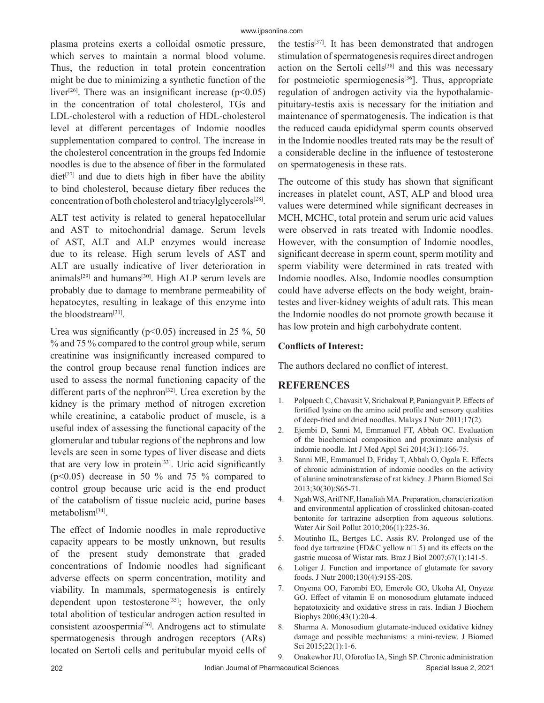plasma proteins exerts a colloidal osmotic pressure, which serves to maintain a normal blood volume. Thus, the reduction in total protein concentration might be due to minimizing a synthetic function of the liver<sup>[26]</sup>. There was an insignificant increase ( $p$ <0.05) in the concentration of total cholesterol, TGs and LDL-cholesterol with a reduction of HDL-cholesterol level at different percentages of Indomie noodles supplementation compared to control. The increase in the cholesterol concentration in the groups fed Indomie noodles is due to the absence of fiber in the formulated  $\text{diet}^{[27]}$  and due to diets high in fiber have the ability to bind cholesterol, because dietary fiber reduces the concentration of both cholesterol and triacylglycerols[28].

ALT test activity is related to general hepatocellular and AST to mitochondrial damage. Serum levels of AST, ALT and ALP enzymes would increase due to its release. High serum levels of AST and ALT are usually indicative of liver deterioration in animals<sup>[29]</sup> and humans<sup>[30]</sup>. High ALP serum levels are probably due to damage to membrane permeability of hepatocytes, resulting in leakage of this enzyme into the bloodstream[31].

Urea was significantly ( $p$ <0.05) increased in 25 %, 50 % and 75 % compared to the control group while, serum creatinine was insignificantly increased compared to the control group because renal function indices are used to assess the normal functioning capacity of the different parts of the nephron<sup>[32]</sup>. Urea excretion by the kidney is the primary method of nitrogen excretion while creatinine, a catabolic product of muscle, is a useful index of assessing the functional capacity of the glomerular and tubular regions of the nephrons and low levels are seen in some types of liver disease and diets that are very low in protein<sup>[33]</sup>. Uric acid significantly ( $p<0.05$ ) decrease in 50 % and 75 % compared to control group because uric acid is the end product of the catabolism of tissue nucleic acid, purine bases metabolism[34].

The effect of Indomie noodles in male reproductive capacity appears to be mostly unknown, but results of the present study demonstrate that graded concentrations of Indomie noodles had significant adverse effects on sperm concentration, motility and viability. In mammals, spermatogenesis is entirely dependent upon testosterone<sup>[35]</sup>; however, the only total abolition of testicular androgen action resulted in consistent azoospermia<sup>[36]</sup>. Androgens act to stimulate spermatogenesis through androgen receptors (ARs) located on Sertoli cells and peritubular myoid cells of the testis[37]. It has been demonstrated that androgen stimulation of spermatogenesis requires direct androgen action on the Sertoli cells<sup>[38]</sup> and this was necessary for postmeiotic spermiogenesis $[36]$ . Thus, appropriate regulation of androgen activity via the hypothalamicpituitary-testis axis is necessary for the initiation and maintenance of spermatogenesis. The indication is that the reduced cauda epididymal sperm counts observed in the Indomie noodles treated rats may be the result of a considerable decline in the influence of testosterone on spermatogenesis in these rats.

The outcome of this study has shown that significant increases in platelet count, AST, ALP and blood urea values were determined while significant decreases in MCH, MCHC, total protein and serum uric acid values were observed in rats treated with Indomie noodles. However, with the consumption of Indomie noodles, significant decrease in sperm count, sperm motility and sperm viability were determined in rats treated with Indomie noodles. Also, Indomie noodles consumption could have adverse effects on the body weight, braintestes and liver-kidney weights of adult rats. This mean the Indomie noodles do not promote growth because it has low protein and high carbohydrate content.

#### **Conflicts of Interest:**

The authors declared no conflict of interest.

# **REFERENCES**

- 1. Polpuech C, Chavasit V, Srichakwal P, Paniangvait P. Effects of fortified lysine on the amino acid profile and sensory qualities of deep-fried and dried noodles. Malays J Nutr 2011;17(2).
- 2. Ejembi D, Sanni M, Emmanuel FT, Abbah OC. Evaluation of the biochemical composition and proximate analysis of indomie noodle. Int J Med Appl Sci 2014;3(1):166-75.
- 3. Sanni ME, Emmanuel D, Friday T, Abbah O, Ogala E. Effects of chronic administration of indomie noodles on the activity of alanine aminotransferase of rat kidney. J Pharm Biomed Sci 2013;30(30):S65-71.
- 4. Ngah WS, Ariff NF, Hanafiah MA. Preparation, characterization and environmental application of crosslinked chitosan-coated bentonite for tartrazine adsorption from aqueous solutions. Water Air Soil Pollut 2010;206(1):225-36.
- 5. Moutinho IL, Bertges LC, Assis RV. Prolonged use of the food dye tartrazine (FD&C yellow  $n \Box$  5) and its effects on the gastric mucosa of Wistar rats. Braz J Biol 2007;67(1):141-5.
- 6. Loliger J. Function and importance of glutamate for savory foods. J Nutr 2000;130(4):915S-20S.
- 7. Onyema OO, Farombi EO, Emerole GO, Ukoha AI, Onyeze GO. Effect of vitamin E on monosodium glutamate induced hepatotoxicity and oxidative stress in rats. Indian J Biochem Biophys 2006;43(1):20-4.
- 8. Sharma A. Monosodium glutamate-induced oxidative kidney damage and possible mechanisms: a mini-review. J Biomed Sci 2015;22(1):1-6.